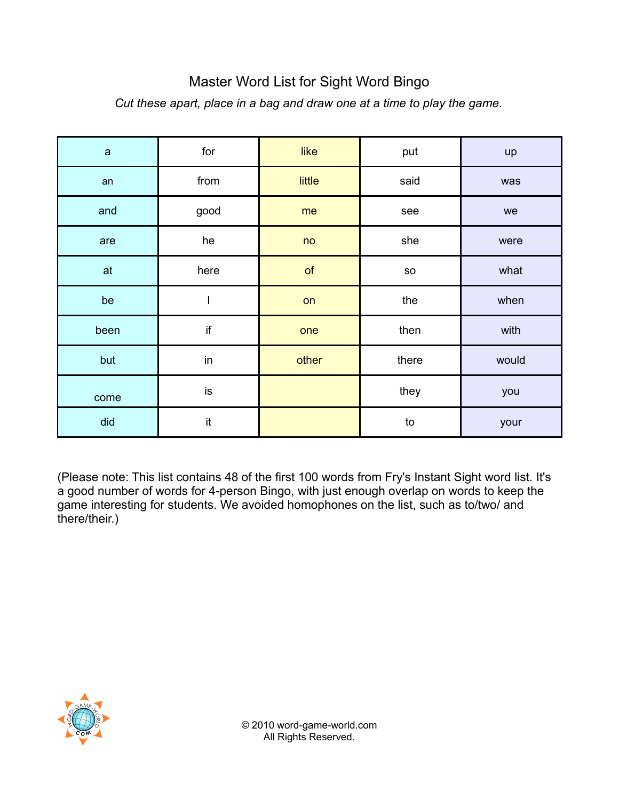## Master Word List for Sight Word Bingo

*Cut these apart, place in a bag and draw one at a time to play the game.*

| $\mathsf{a}$ | for                      | like   | put        | up    |
|--------------|--------------------------|--------|------------|-------|
| an           | from                     | little | said       | was   |
| and          | good                     | me     | see        | we    |
| are          | he                       | no     | she        | were  |
| at           | here                     | of     | ${\sf SO}$ | what  |
| be           | $\overline{\phantom{a}}$ | on     | the        | when  |
| been         | if                       | one    | then       | with  |
| but          | in                       | other  | there      | would |
| come         | is                       |        | they       | you   |
| did          | it                       |        | to         | your  |

(Please note: This list contains 48 of the first 100 words from Fry's Instant Sight word list. It's a good number of words for 4-person Bingo, with just enough overlap on words to keep the game interesting for students. We avoided homophones on the list, such as to/two/ and there/their.)

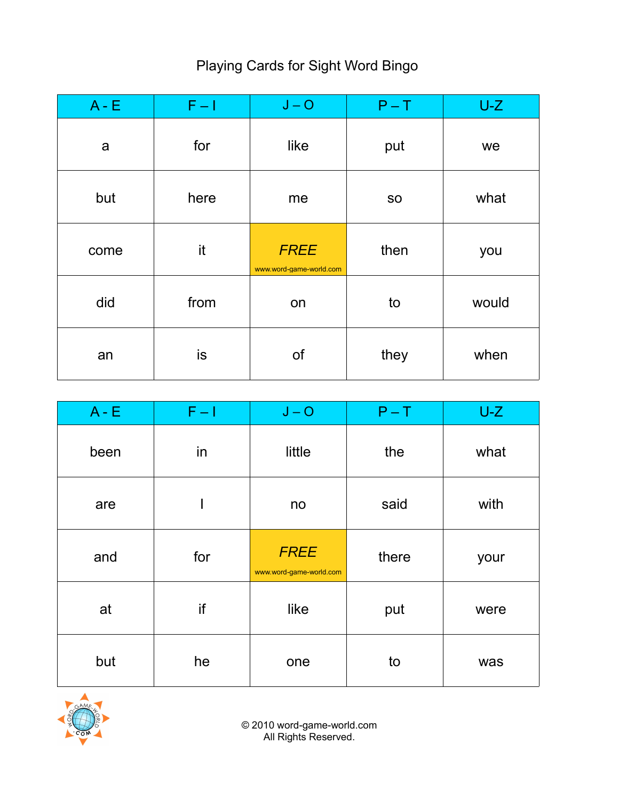## Playing Cards for Sight Word Bingo

| $A - E$ | $F - I$ | $J - O$                                | $P - T$   | $U-Z$ |
|---------|---------|----------------------------------------|-----------|-------|
| a       | for     | like                                   | put       | we    |
| but     | here    | me                                     | <b>SO</b> | what  |
| come    | it      | <b>FREE</b><br>www.word-game-world.com | then      | you   |
| did     | from    | on                                     | to        | would |
| an      | is      | of                                     | they      | when  |

| $A - E$ | $F - 1$ | $J - O$                                | $P - T$ | $U-Z$ |
|---------|---------|----------------------------------------|---------|-------|
| been    | in      | little                                 | the     | what  |
| are     | I       | no                                     | said    | with  |
| and     | for     | <b>FREE</b><br>www.word-game-world.com | there   | your  |
| at      | if      | like                                   | put     | were  |
| but     | he      | one                                    | to      | was   |

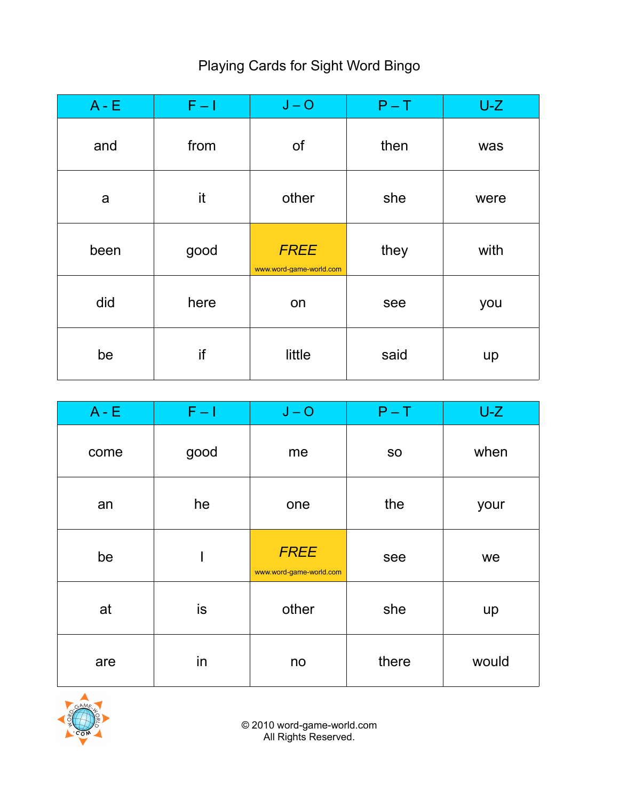## Playing Cards for Sight Word Bingo

| $A - E$ | $F - I$ | $J - O$                                | $P - T$ | $U-Z$ |
|---------|---------|----------------------------------------|---------|-------|
| and     | from    | of                                     | then    | was   |
| a       | it      | other                                  | she     | were  |
| been    | good    | <b>FREE</b><br>www.word-game-world.com | they    | with  |
| did     | here    | on                                     | see     | you   |
| be      | if      | little                                 | said    | up    |

| $A - E$ | $F - 1$ | $J - O$                                | $P - T$   | $U-Z$ |
|---------|---------|----------------------------------------|-----------|-------|
| come    | good    | me                                     | <b>SO</b> | when  |
| an      | he      | one                                    | the       | your  |
| be      |         | <b>FREE</b><br>www.word-game-world.com | see       | we    |
| at      | is      | other                                  | she       | up    |
| are     | in      | no                                     | there     | would |